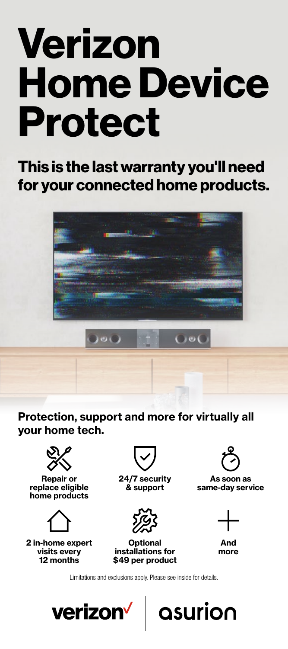# **Verizon Home Device Protect**

**This is the last warranty you'll need for your connected home products.**



**Protection, support and more for virtually all your home tech.**



**Repair or replace eligible home products**



**2 in-home expert visits every 12 months**



**24/7 security & support**



**Optional installations for \$49 per product**



**As soon as same-day service** 



**And more**

asurion

Limitations and exclusions apply. Please see inside for details.

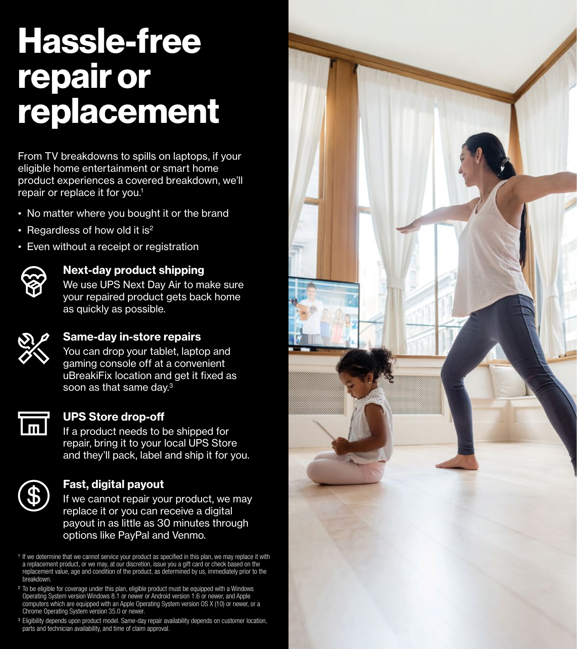# **Hassle-free repair or replacement**

From TV breakdowns to spills on laptops, if your eligible home entertainment or smart home product experiences a covered breakdown, we'll repair or replace it for you.1

- No matter where you bought it or the brand
- Regardless of how old it is<sup>2</sup>
- Even without a receipt or registration



# **Next-day product shipping**

We use UPS Next Day Air to make sure your repaired product gets back home as quickly as possible.



# **Same-day in-store repairs**

You can drop your tablet, laptop and gaming console off at a convenient uBreakiFix location and get it fixed as soon as that same day.<sup>3</sup>



# **UPS Store drop-off**

If a product needs to be shipped for repair, bring it to your local UPS Store and they'll pack, label and ship it for you.



# **Fast, digital payout**

If we cannot repair your product, we may replace it or you can receive a digital payout in as little as 30 minutes through options like PayPal and Venmo.

<sup>1</sup> If we determine that we cannot service your product as specified in this plan, we may replace it with a replacement product, or we may, at our discretion, issue you a gift card or check based on the replacement value, age and condition of the product, as determined by us, immediately prior to the breakdown.

<sup>2</sup> To be eligible for coverage under this plan, eligible product must be equipped with a Windows Operating System version Windows 8.1 or newer or Android version 1.6 or newer, and Apple computers which are equipped with an Apple Operating System version OS X (10) or newer, or a Chrome Operating System version 35.0 or newer.

<sup>3</sup> Eligibility depends upon product model. Same-day repair availability depends on customer location, parts and technician availability, and time of claim approval.

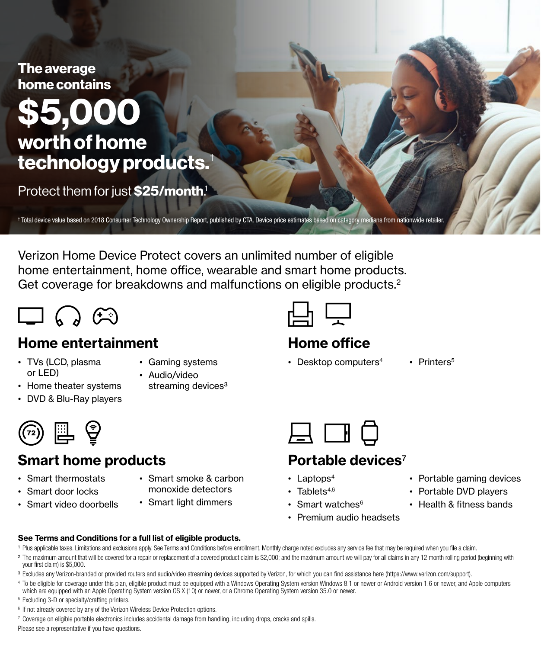

Verizon Home Device Protect covers an unlimited number of eligible home entertainment, home office, wearable and smart home products. Get coverage for breakdowns and malfunctions on eligible products.<sup>2</sup>



# **Home entertainment**

- TVs (LCD, plasma or LED)
- Gaming systems
- Audio/video streaming devices<sup>3</sup>
- Home theater systems • DVD & Blu-Ray players



# **Smart home products**

- Smart thermostats
- Smart door locks
- Smart video doorbells
- Smart smoke & carbon monoxide detectors
- Smart light dimmers



# **Home office**

- Desktop computers<sup>4</sup> Printers<sup>5</sup>
	-



# **Portable devices**7

- Laptops $4$
- Tablets $4,6$
- Smart watches $6$
- Premium audio headsets
- Portable gaming devices
- Portable DVD players
- Health & fitness bands

- **See Terms and Conditions for a full list of eligible products.**
- 1 Plus applicable taxes. Limitations and exclusions apply. See Terms and Conditions before enrollment. Monthly charge noted excludes any service fee that may be required when you file a claim.
- <sup>2</sup> The maximum amount that will be covered for a repair or replacement of a covered product claim is \$2,000; and the maximum amount we will pay for all claims in any 12 month rolling period (beginning with your first claim) is \$5,000.
- <sup>3</sup> Excludes any Verizon-branded or provided routers and audio/video streaming devices supported by Verizon, for which you can find assistance here ([https://www.verizon.com/support\)](https://www.verizon.com/support).
- <sup>4</sup> To be eligible for coverage under this plan, eligible product must be equipped with a Windows Operating System version Windows 8.1 or newer or Android version 1.6 or newer, and Apple computers which are equipped with an Apple Operating System version OS X (10) or newer, or a Chrome Operating System version 35.0 or newer.
- <sup>5</sup> Excluding 3-D or specialty/crafting printers.
- <sup>6</sup> If not already covered by any of the Verizon Wireless Device Protection options.

 $7$  Coverage on eligible portable electronics includes accidental damage from handling, including drops, cracks and spills.

Please see a representative if you have questions.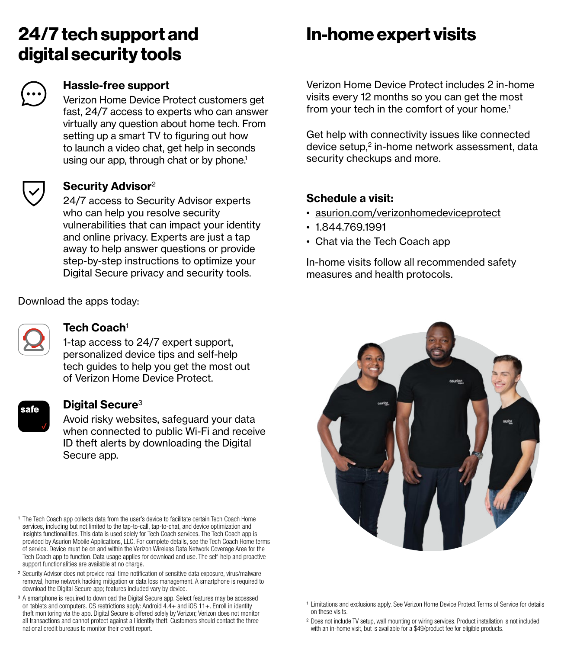# **24/7 tech support and digital security tools**



# **Hassle-free support**

Verizon Home Device Protect customers get fast, 24/7 access to experts who can answer virtually any question about home tech. From setting up a smart TV to figuring out how to launch a video chat, get help in seconds using our app, through chat or by phone.<sup>1</sup>

# **Security Advisor**<sup>2</sup>

24/7 access to Security Advisor experts who can help you resolve security vulnerabilities that can impact your identity and online privacy. Experts are just a tap away to help answer questions or provide step-by-step instructions to optimize your Digital Secure privacy and security tools.

Download the apps today:



# **Tech Coach**<sup>1</sup>

1-tap access to 24/7 expert support, personalized device tips and self-help tech guides to help you get the most out of Verizon Home Device Protect.

# **Digital Secure**<sup>3</sup>

Avoid risky websites, safeguard your data when connected to public Wi-Fi and receive ID theft alerts by downloading the Digital Secure app.

<sup>1</sup> The Tech Coach app collects data from the user's device to facilitate certain Tech Coach Home services, including but not limited to the tap-to-call, tap-to-chat, and device optimization and insights functionalities. This data is used solely for Tech Coach services. The Tech Coach app is provided by Asurion Mobile Applications, LLC. For complete details, see the Tech Coach Home terms of service. Device must be on and within the Verizon Wireless Data Network Coverage Area for the Tech Coach app to function. Data usage applies for download and use. The self-help and proactive support functionalities are available at no charge.

- ² Security Advisor does not provide real-time notification of sensitive data exposure, virus/malware removal, home network hacking mitigation or data loss management. A smartphone is required to download the Digital Secure app; features included vary by device.
- <sup>3</sup> A smartphone is required to download the Digital Secure app. Select features may be accessed on tablets and computers. OS restrictions apply: Android 4.4+ and iOS 11+. Enroll in identity theft monitoring via the app. Digital Secure is offered solely by Verizon; Verizon does not monitor all transactions and cannot protect against all identity theft. Customers should contact the three national credit bureaus to monitor their credit report.

# **In-home expert visits**

Verizon Home Device Protect includes 2 in-home visits every 12 months so you can get the most from your tech in the comfort of your home.<sup>1</sup>

Get help with connectivity issues like connected device setup, $2$  in-home network assessment, data security checkups and more.

# **Schedule a visit:**

- [asurion.com/verizonhomedeviceprotect](http://asurion.com/verizonhomedeviceprotect)
- 1.844.769.1991
- Chat via the Tech Coach app

In-home visits follow all recommended safety measures and health protocols.



- <sup>1</sup> Limitations and exclusions apply. See Verizon Home Device Protect Terms of Service for details on these visits.
- ² Does not include TV setup, wall mounting or wiring services. Product installation is not included with an in-home visit, but is available for a \$49/product fee for eligible products.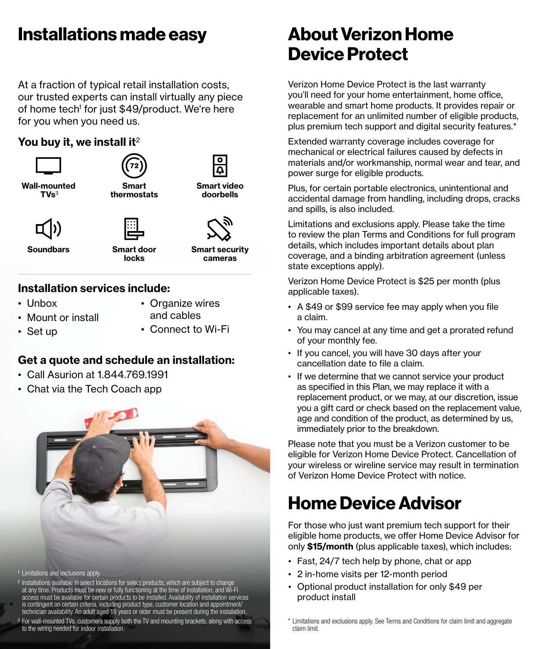# **Installations made easy**

At a fraction of typical retail installation costs, our trusted experts can install virtually any piece of home tech<sup>1</sup> for just \$49/product. We're here for you when you need us.

# **You buy it, we install it**<sup>2</sup>





• Mount or install

**Soundbars Smart door** 

**locks**

**Smart security cameras**

<u>م</u>

# **Installation services include:**

• Unbox

• Organize wires and cables

• Set up

• Connect to Wi-Fi

# **Get a quote and schedule an installation:**

- Call Asurion at 1.844.769.1991
- Chat via the Tech Coach app



- <sup>1</sup> Limitations and exclusions apply.
- <sup>2</sup> Installations available in select locations for select products, which are subject to change at any time. Products must be new or fully functioning at the time of installation, and Wi-Fi access must be available for certain products to be installed. Availability of installation services is contingent on certain criteria, including product type, customer location and appointment/
- technician availability. An adult aged 18 years or older must be present during the installation. <sup>3</sup> For wall-mounted TVs, customers supply both the TV and mounting brackets, along with access to the wiring needed for indoor installation.

# **About Verizon Home Device Protect**

Verizon Home Device Protect is the last warranty you'll need for your home entertainment, home office, wearable and smart home products. It provides repair or replacement for an unlimited number of eligible products, plus premium tech support and digital security features.\*

Extended warranty coverage includes coverage for mechanical or electrical failures caused by defects in materials and/or workmanship, normal wear and tear, and power surge for eligible products.

Plus, for certain portable electronics, unintentional and accidental damage from handling, including drops, cracks and spills, is also included.

Limitations and exclusions apply. Please take the time to review the plan Terms and Conditions for full program details, which includes important details about plan coverage, and a binding arbitration agreement (unless state exceptions apply).

Verizon Home Device Protect is \$25 per month (plus applicable taxes).

- A \$49 or \$99 service fee may apply when you file a claim.
- You may cancel at any time and get a prorated refund of your monthly fee.
- If you cancel, you will have 30 days after your cancellation date to file a claim.
- If we determine that we cannot service your product as specified in this Plan, we may replace it with a replacement product, or we may, at our discretion, issue you a gift card or check based on the replacement value, age and condition of the product, as determined by us, immediately prior to the breakdown.

Please note that you must be a Verizon customer to be eligible for Verizon Home Device Protect. Cancellation of your wireless or wireline service may result in termination of Verizon Home Device Protect with notice.

# **Home Device Advisor**

For those who just want premium tech support for their eligible home products, we offer Home Device Advisor for only **\$15/month** (plus applicable taxes), which includes:

- Fast, 24/7 tech help by phone, chat or app
- 2 in-home visits per 12-month period
- Optional product installation for only \$49 per product install

\* Limitations and exclusions apply. See Terms and Conditions for claim limit and aggregate claim limit.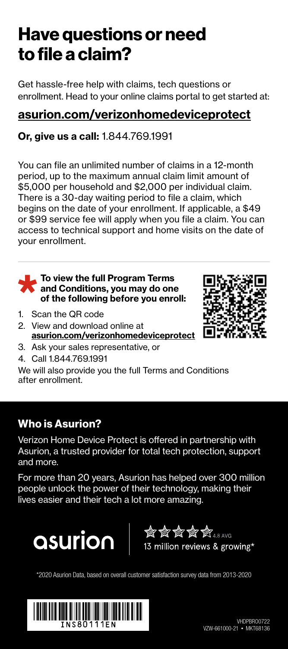# **Have questions or need to file a claim?**

Get hassle-free help with claims, tech questions or enrollment. Head to your online claims portal to get started at:

# **[asurion.com/verizonhomedeviceprotect](http://asurion.com/verizonhomedeviceprotect)**

# **Or, give us a call:** 1.844.769.1991

You can file an unlimited number of claims in a 12-month period, up to the maximum annual claim limit amount of \$5,000 per household and \$2,000 per individual claim. There is a 30-day waiting period to file a claim, which begins on the date of your enrollment. If applicable, a \$49 or \$99 service fee will apply when you file a claim. You can access to technical support and home visits on the date of your enrollment.

#### **To view the full Program Terms and Conditions, you may do one of the following before you enroll:**

- 1. Scan the QR code
- 2. View and download online at **[asurion.com/verizonhomedeviceprotect](http://asurion.com/verizonhomedeviceprotect)**



- 3. Ask your sales representative, or
- 4. Call 1.844.769.1991

We will also provide you the full Terms and Conditions after enrollment.

# **Who is Asurion?**

Verizon Home Device Protect is offered in partnership with Asurion, a trusted provider for total tech protection, support and more.

For more than 20 years, Asurion has helped over 300 million people unlock the power of their technology, making their lives easier and their tech a lot more amazing.



 $\mathscr{C}_4 \otimes \mathscr{C}_4 \otimes \mathscr{C}_4$ 4.8 AVG 13 million reviews & growing\*

\*2020 Asurion Data, based on overall customer satisfaction survey data from 2013-2020

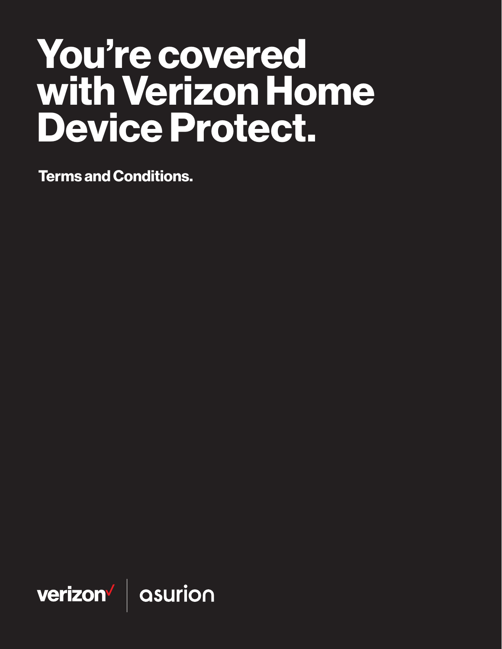# You're covered with Verizon Home Device Protect.

Terms and Conditions.

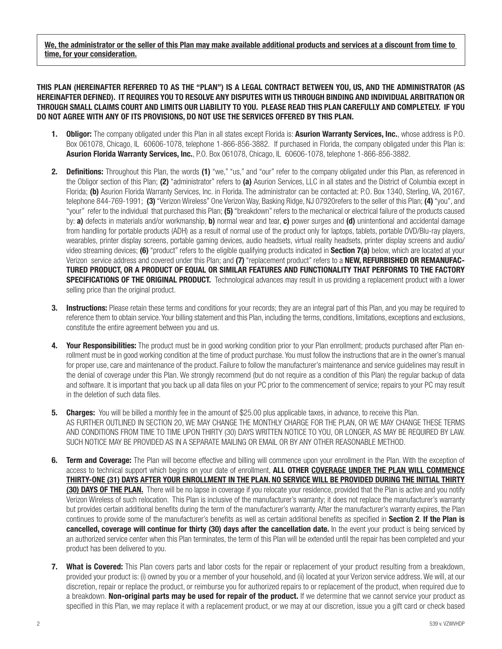We, the administrator or the seller of this Plan may make available additional products and services at a discount from time to time, for your consideration.

THIS PLAN (HEREINAFTER REFERRED TO AS THE "PLAN") IS A LEGAL CONTRACT BETWEEN YOU, US, AND THE ADMINISTRATOR (AS HEREINAFTER DEFINED). IT REQUIRES YOU TO RESOLVE ANY DISPUTES WITH US THROUGH BINDING AND INDIVIDUAL ARBITRATION OR THROUGH SMALL CLAIMS COURT AND LIMITS OUR LIABILITY TO YOU. PLEASE READ THIS PLAN CAREFULLY AND COMPLETELY. IF YOU DO NOT AGREE WITH ANY OF ITS PROVISIONS, DO NOT USE THE SERVICES OFFERED BY THIS PLAN.

- **Obligor:** The company obligated under this Plan in all states except Florida is: **Asurion Warranty Services, Inc.**, whose address is P.O. Box 061078, Chicago, IL 60606-1078, telephone 1-866-856-3882. If purchased in Florida, the company obligated under this Plan is: Asurion Florida Warranty Services, Inc., P.O. Box 061078, Chicago, IL 60606-1078, telephone 1-866-856-3882.
- 2. Definitions: Throughout this Plan, the words (1) "we," "us," and "our" refer to the company obligated under this Plan, as referenced in the Obligor section of this Plan; (2) "administrator" refers to (a) Asurion Services, LLC in all states and the District of Columbia except in Florida; (b) Asurion Florida Warranty Services, Inc. in Florida. The administrator can be contacted at: P.O. Box 1340, Sterling, VA, 20167, telephone 844-769-1991; (3) "Verizon Wireless" One Verizon Way, Basking Ridge, NJ 07920refers to the seller of this Plan; (4) "you", and "your" refer to the individual that purchased this Plan; (5) "breakdown" refers to the mechanical or electrical failure of the products caused by: a) defects in materials and/or workmanship, b) normal wear and tear, c) power surges and (d) unintentional and accidental damage from handling for portable products (ADH) as a result of normal use of the product only for laptops, tablets, portable DVD/Blu-ray players, wearables, printer display screens, portable gaming devices, audio headsets, virtual reality headsets, printer display screens and audio/ video streaming devices; (6) "product" refers to the eligible qualifying products indicated in Section 7(a) below, which are located at your Verizon service address and covered under this Plan; and (7) "replacement product" refers to a **NEW, REFURBISHED OR REMANUFAC-**TURED PRODUCT, OR A PRODUCT OF EQUAL OR SIMILAR FEATURES AND FUNCTIONALITY THAT PERFORMS TO THE FACTORY SPECIFICATIONS OF THE ORIGINAL PRODUCT. Technological advances may result in us providing a replacement product with a lower selling price than the original product.
- **3.** Instructions: Please retain these terms and conditions for your records; they are an integral part of this Plan, and you may be required to reference them to obtain service. Your billing statement and this Plan, including the terms, conditions, limitations, exceptions and exclusions, constitute the entire agreement between you and us.
- 4. Your Responsibilities: The product must be in good working condition prior to your Plan enrollment; products purchased after Plan enrollment must be in good working condition at the time of product purchase. You must follow the instructions that are in the owner's manual for proper use, care and maintenance of the product. Failure to follow the manufacturer's maintenance and service guidelines may result in the denial of coverage under this Plan. We strongly recommend (but do not require as a condition of this Plan) the regular backup of data and software. It is important that you back up all data files on your PC prior to the commencement of service; repairs to your PC may result in the deletion of such data files.
- **5.** Charges: You will be billed a monthly fee in the amount of \$25.00 plus applicable taxes, in advance, to receive this Plan. AS FURTHER OUTLINED IN SECTION 20, WE MAY CHANGE THE MONTHLY CHARGE FOR THE PLAN, OR WE MAY CHANGE THESE TERMS AND CONDITIONS FROM TIME TO TIME UPON THIRTY (30) DAYS WRITTEN NOTICE TO YOU, OR LONGER, AS MAY BE REQUIRED BY LAW. SUCH NOTICE MAY BE PROVIDED AS IN A SEPARATE MAILING OR EMAIL OR BY ANY OTHER REASONABLE METHOD.
- 6. Term and Coverage: The Plan will become effective and billing will commence upon your enrollment in the Plan. With the exception of access to technical support which begins on your date of enrollment, ALL OTHER COVERAGE UNDER THE PLAN WILL COMMENCE THIRTY-ONE (31) DAYS AFTER YOUR ENROLLMENT IN THE PLAN. NO SERVICE WILL BE PROVIDED DURING THE INITIAL THIRTY (30) DAYS OF THE PLAN. There will be no lapse in coverage if you relocate your residence, provided that the Plan is active and you notify Verizon Wireless of such relocation. This Plan is inclusive of the manufacturer's warranty; it does not replace the manufacturer's warranty but provides certain additional benefits during the term of the manufacturer's warranty. After the manufacturer's warranty expires, the Plan continues to provide some of the manufacturer's benefits as well as certain additional benefits as specified in Section 2. If the Plan is cancelled, coverage will continue for thirty (30) days after the cancellation date. In the event your product is being serviced by an authorized service center when this Plan terminates, the term of this Plan will be extended until the repair has been completed and your product has been delivered to you.
- 7. What is Covered: This Plan covers parts and labor costs for the repair or replacement of your product resulting from a breakdown, provided your product is: (i) owned by you or a member of your household, and (ii) located at your Verizon service address. We will, at our discretion, repair or replace the product, or reimburse you for authorized repairs to or replacement of the product, when required due to a breakdown. Non-original parts may be used for repair of the product. If we determine that we cannot service your product as specified in this Plan, we may replace it with a replacement product, or we may at our discretion, issue you a gift card or check based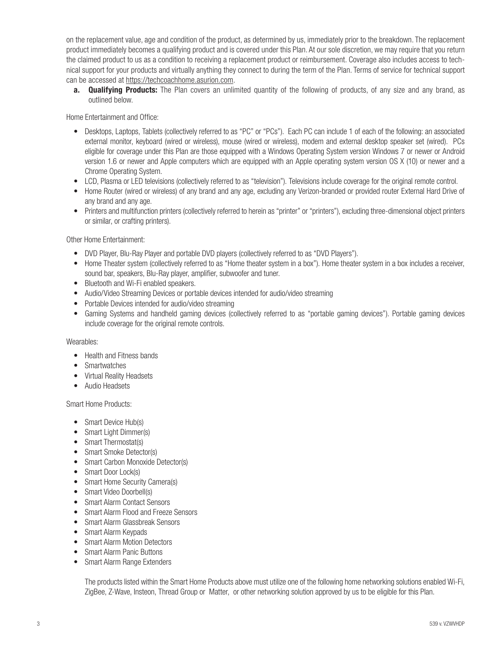on the replacement value, age and condition of the product, as determined by us, immediately prior to the breakdown. The replacement product immediately becomes a qualifying product and is covered under this Plan. At our sole discretion, we may require that you return the claimed product to us as a condition to receiving a replacement product or reimbursement. Coverage also includes access to technical support for your products and virtually anything they connect to during the term of the Plan. Terms of service for technical support can be accessed at [https://techcoachhome.asurion.com.](https://techcoachhome.asurion.com)

a. Qualifying Products: The Plan covers an unlimited quantity of the following of products, of any size and any brand, as outlined below.

Home Entertainment and Office:

- Desktops, Laptops, Tablets (collectively referred to as "PC" or "PCs"). Each PC can include 1 of each of the following: an associated external monitor, keyboard (wired or wireless), mouse (wired or wireless), modem and external desktop speaker set (wired). PCs eligible for coverage under this Plan are those equipped with a Windows Operating System version Windows 7 or newer or Android version 1.6 or newer and Apple computers which are equipped with an Apple operating system version OS X (10) or newer and a Chrome Operating System.
- LCD, Plasma or LED televisions (collectively referred to as "television"). Televisions include coverage for the original remote control.
- Home Router (wired or wireless) of any brand and any age, excluding any Verizon-branded or provided router External Hard Drive of any brand and any age.
- Printers and multifunction printers (collectively referred to herein as "printer" or "printers"), excluding three-dimensional object printers or similar, or crafting printers).

Other Home Entertainment:

- DVD Player, Blu-Ray Player and portable DVD players (collectively referred to as "DVD Players").
- Home Theater system (collectively referred to as "Home theater system in a box"). Home theater system in a box includes a receiver, sound bar, speakers, Blu-Ray player, amplifier, subwoofer and tuner.
- Bluetooth and Wi-Fi enabled speakers.
- Audio/Video Streaming Devices or portable devices intended for audio/video streaming
- Portable Devices intended for audio/video streaming
- Gaming Systems and handheld gaming devices (collectively referred to as "portable gaming devices"). Portable gaming devices include coverage for the original remote controls.

## Wearables:

- Health and Fitness bands
- Smartwatches
- Virtual Reality Headsets
- Audio Headsets

Smart Home Products:

- Smart Device Hub(s)
- Smart Light Dimmer(s)
- Smart Thermostat(s)
- Smart Smoke Detector(s)
- Smart Carbon Monoxide Detector(s)
- Smart Door Lock(s)
- Smart Home Security Camera(s)
- Smart Video Doorbell(s)
- Smart Alarm Contact Sensors
- Smart Alarm Flood and Freeze Sensors
- Smart Alarm Glassbreak Sensors
- Smart Alarm Keypads
- Smart Alarm Motion Detectors
- Smart Alarm Panic Buttons
- Smart Alarm Range Extenders

The products listed within the Smart Home Products above must utilize one of the following home networking solutions enabled Wi-Fi, ZigBee, Z-Wave, Insteon, Thread Group or Matter, or other networking solution approved by us to be eligible for this Plan.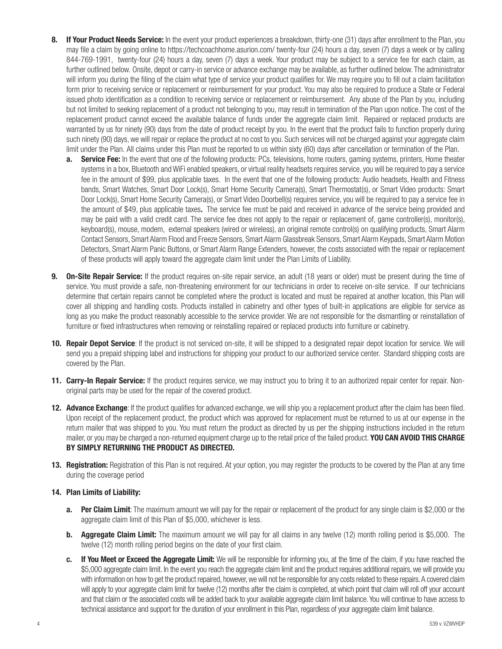- 8. If Your Product Needs Service: In the event your product experiences a breakdown, thirty-one (31) days after enrollment to the Plan, you may file a claim by going online to https://techcoachhome.asurion.com/ twenty-four (24) hours a day, seven (7) days a week or by calling 844-769-1991, twenty-four (24) hours a day, seven (7) days a week. Your product may be subject to a service fee for each claim, as further outlined below. Onsite, depot or carry-in service or advance exchange may be available, as further outlined below. The administrator will inform you during the filing of the claim what type of service your product qualifies for. We may require you to fill out a claim facilitation form prior to receiving service or replacement or reimbursement for your product. You may also be required to produce a State or Federal issued photo identification as a condition to receiving service or replacement or reimbursement. Any abuse of the Plan by you, including but not limited to seeking replacement of a product not belonging to you, may result in termination of the Plan upon notice. The cost of the replacement product cannot exceed the available balance of funds under the aggregate claim limit. Repaired or replaced products are warranted by us for ninety (90) days from the date of product receipt by you. In the event that the product fails to function properly during such ninety (90) days, we will repair or replace the product at no cost to you. Such services will not be charged against your aggregate claim limit under the Plan. All claims under this Plan must be reported to us within sixty (60) days after cancellation or termination of the Plan.
	- **a.** Service Fee: In the event that one of the following products: PCs, televisions, home routers, gaming systems, printers, Home theater systems in a box, Bluetooth and WiFi enabled speakers, or virtual reality headsets requires service, you will be required to pay a service fee in the amount of \$99, plus applicable taxes. In the event that one of the following products: Audio headsets, Health and Fitness bands, Smart Watches, Smart Door Lock(s), Smart Home Security Camera(s), Smart Thermostat(s), or Smart Video products: Smart Door Lock(s), Smart Home Security Camera(s), or Smart Video Doorbell(s) requires service, you will be required to pay a service fee in the amount of \$49, plus applicable taxes. The service fee must be paid and received in advance of the service being provided and may be paid with a valid credit card. The service fee does not apply to the repair or replacement of, game controller(s), monitor(s), keyboard(s), mouse, modem, external speakers (wired or wireless), an original remote control(s) on qualifying products, Smart Alarm Contact Sensors, Smart Alarm Flood and Freeze Sensors, Smart Alarm Glassbreak Sensors, Smart Alarm Keypads, Smart Alarm Motion Detectors, Smart Alarm Panic Buttons, or Smart Alarm Range Extenders, however, the costs associated with the repair or replacement of these products will apply toward the aggregate claim limit under the Plan Limits of Liability.
- **9.** On-Site Repair Service: If the product requires on-site repair service, an adult (18 years or older) must be present during the time of service. You must provide a safe, non-threatening environment for our technicians in order to receive on-site service. If our technicians determine that certain repairs cannot be completed where the product is located and must be repaired at another location, this Plan will cover all shipping and handling costs. Products installed in cabinetry and other types of built-in applications are eligible for service as long as you make the product reasonably accessible to the service provider. We are not responsible for the dismantling or reinstallation of furniture or fixed infrastructures when removing or reinstalling repaired or replaced products into furniture or cabinetry.
- **10. Repair Depot Service:** If the product is not serviced on-site, it will be shipped to a designated repair depot location for service. We will send you a prepaid shipping label and instructions for shipping your product to our authorized service center. Standard shipping costs are covered by the Plan.
- **11. Carry-In Repair Service:** If the product requires service, we may instruct you to bring it to an authorized repair center for repair. Nonoriginal parts may be used for the repair of the covered product.
- **12. Advance Exchange**: If the product qualifies for advanced exchange, we will ship you a replacement product after the claim has been filed. Upon receipt of the replacement product, the product which was approved for replacement must be returned to us at our expense in the return mailer that was shipped to you. You must return the product as directed by us per the shipping instructions included in the return mailer, or you may be charged a non-returned equipment charge up to the retail price of the failed product. YOU CAN AVOID THIS CHARGE BY SIMPLY RETURNING THE PRODUCT AS DIRECTED.
- 13. Registration: Registration of this Plan is not required. At your option, you may register the products to be covered by the Plan at any time during the coverage period

## 14. Plan Limits of Liability:

- **a.** Per Claim Limit: The maximum amount we will pay for the repair or replacement of the product for any single claim is \$2,000 or the aggregate claim limit of this Plan of \$5,000, whichever is less.
- **b.** Aggregate Claim Limit: The maximum amount we will pay for all claims in any twelve (12) month rolling period is \$5,000. The twelve (12) month rolling period begins on the date of your first claim.
- c. If You Meet or Exceed the Aggregate Limit: We will be responsible for informing you, at the time of the claim, if you have reached the \$5,000 aggregate claim limit. In the event you reach the aggregate claim limit and the product requires additional repairs, we will provide you with information on how to get the product repaired, however, we will not be responsible for any costs related to these repairs. A covered claim will apply to your aggregate claim limit for twelve (12) months after the claim is completed, at which point that claim will roll off your account and that claim or the associated costs will be added back to your available aggregate claim limit balance. You will continue to have access to technical assistance and support for the duration of your enrollment in this Plan, regardless of your aggregate claim limit balance.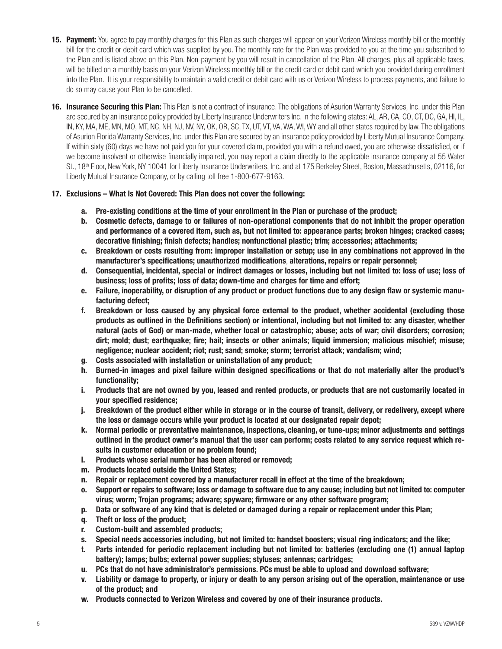- 15. Payment: You agree to pay monthly charges for this Plan as such charges will appear on your Verizon Wireless monthly bill or the monthly bill for the credit or debit card which was supplied by you. The monthly rate for the Plan was provided to you at the time you subscribed to the Plan and is listed above on this Plan. Non-payment by you will result in cancellation of the Plan. All charges, plus all applicable taxes, will be billed on a monthly basis on your Verizon Wireless monthly bill or the credit card or debit card which you provided during enrollment into the Plan. It is your responsibility to maintain a valid credit or debit card with us or Verizon Wireless to process payments, and failure to do so may cause your Plan to be cancelled.
- 16. Insurance Securing this Plan: This Plan is not a contract of insurance. The obligations of Asurion Warranty Services, Inc. under this Plan are secured by an insurance policy provided by Liberty Insurance Underwriters Inc. in the following states: AL, AR, CA, CO, CT, DC, GA, HI, IL, IN, KY, MA, ME, MN, MO, MT, NC, NH, NJ, NV, NY, OK, OR, SC, TX, UT, VT, VA, WA, WI, WY and all other states required by law. The obligations of Asurion Florida Warranty Services, Inc. under this Plan are secured by an insurance policy provided by Liberty Mutual Insurance Company. If within sixty (60) days we have not paid you for your covered claim, provided you with a refund owed, you are otherwise dissatisfied, or if we become insolvent or otherwise financially impaired, you may report a claim directly to the applicable insurance company at 55 Water St., 18<sup>th</sup> Floor, New York, NY 10041 for Liberty Insurance Underwriters, Inc. and at 175 Berkeley Street, Boston, Massachusetts, 02116, for Liberty Mutual Insurance Company, or by calling toll free 1-800-677-9163.

## 17. Exclusions – What Is Not Covered: This Plan does not cover the following:

- a. Pre-existing conditions at the time of your enrollment in the Plan or purchase of the product;
- b. Cosmetic defects, damage to or failures of non-operational components that do not inhibit the proper operation and performance of a covered item, such as, but not limited to: appearance parts; broken hinges; cracked cases; decorative finishing; finish defects; handles; nonfunctional plastic; trim; accessories; attachments;
- c. Breakdown or costs resulting from: improper installation or setup; use in any combinations not approved in the manufacturer's specifications; unauthorized modifications, alterations, repairs or repair personnel;
- d. Consequential, incidental, special or indirect damages or losses, including but not limited to: loss of use; loss of business; loss of profits; loss of data; down-time and charges for time and effort;
- e. Failure, inoperability, or disruption of any product or product functions due to any design flaw or systemic manufacturing defect;
- f. Breakdown or loss caused by any physical force external to the product, whether accidental (excluding those products as outlined in the Definitions section) or intentional, including but not limited to: any disaster, whether natural (acts of God) or man-made, whether local or catastrophic; abuse; acts of war; civil disorders; corrosion; dirt; mold; dust; earthquake; fire; hail; insects or other animals; liquid immersion; malicious mischief; misuse; negligence; nuclear accident; riot; rust; sand; smoke; storm; terrorist attack; vandalism; wind;
- g. Costs associated with installation or uninstallation of any product;
- h. Burned-in images and pixel failure within designed specifications or that do not materially alter the product's functionality;
- i. Products that are not owned by you, leased and rented products, or products that are not customarily located in your specified residence;
- j. Breakdown of the product either while in storage or in the course of transit, delivery, or redelivery, except where the loss or damage occurs while your product is located at our designated repair depot;
- k. Normal periodic or preventative maintenance, inspections, cleaning, or tune-ups; minor adjustments and settings outlined in the product owner's manual that the user can perform; costs related to any service request which results in customer education or no problem found;
- l. Products whose serial number has been altered or removed;
- m. Products located outside the United States;
- n. Repair or replacement covered by a manufacturer recall in effect at the time of the breakdown;
- o. Support or repairs to software; loss or damage to software due to any cause; including but not limited to: computer virus; worm; Trojan programs; adware; spyware; firmware or any other software program;
- p. Data or software of any kind that is deleted or damaged during a repair or replacement under this Plan;
- q. Theft or loss of the product;
- r. Custom-built and assembled products;
- s. Special needs accessories including, but not limited to: handset boosters; visual ring indicators; and the like;
- t. Parts intended for periodic replacement including but not limited to: batteries (excluding one (1) annual laptop battery); lamps; bulbs; external power supplies; styluses; antennas; cartridges;
- u. PCs that do not have administrator's permissions. PCs must be able to upload and download software;
- Liability or damage to property, or injury or death to any person arising out of the operation, maintenance or use of the product; and
- w. Products connected to Verizon Wireless and covered by one of their insurance products.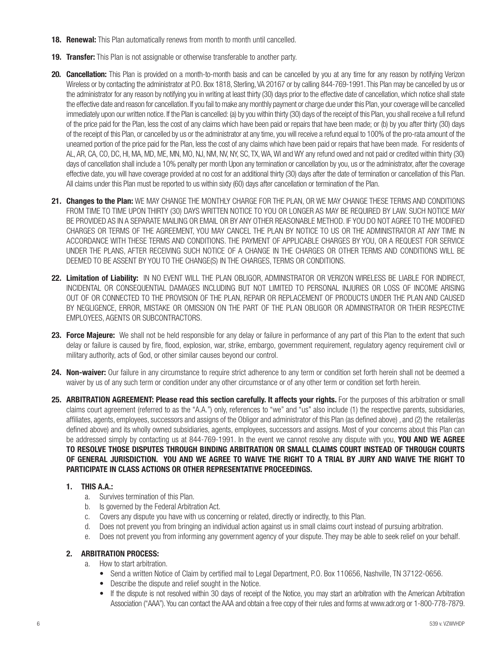- **18. Renewal:** This Plan automatically renews from month to month until cancelled.
- **19. Transfer:** This Plan is not assignable or otherwise transferable to another party.
- 20. Cancellation: This Plan is provided on a month-to-month basis and can be cancelled by you at any time for any reason by notifying Verizon Wireless or by contacting the administrator at P.O. Box 1818, Sterling, VA 20167 or by calling 844-769-1991. This Plan may be cancelled by us or the administrator for any reason by notifying you in writing at least thirty (30) days prior to the effective date of cancellation, which notice shall state the effective date and reason for cancellation. If you fail to make any monthly payment or charge due under this Plan, your coverage will be cancelled immediately upon our written notice. If the Plan is cancelled: (a) by you within thirty (30) days of the receipt of this Plan, you shall receive a full refund of the price paid for the Plan, less the cost of any claims which have been paid or repairs that have been made; or (b) by you after thirty (30) days of the receipt of this Plan, or cancelled by us or the administrator at any time, you will receive a refund equal to 100% of the pro-rata amount of the unearned portion of the price paid for the Plan, less the cost of any claims which have been paid or repairs that have been made. For residents of AL, AR, CA, CO, DC, HI, MA, MD, ME, MN, MO, NJ, NM, NV, NY, SC, TX, WA, WI and WY any refund owed and not paid or credited within thirty (30) days of cancellation shall include a 10% penalty per month Upon any termination or cancellation by you, us or the administrator, after the coverage effective date, you will have coverage provided at no cost for an additional thirty (30) days after the date of termination or cancellation of this Plan. All claims under this Plan must be reported to us within sixty (60) days after cancellation or termination of the Plan.
- 21. Changes to the Plan: WE MAY CHANGE THE MONTHLY CHARGE FOR THE PLAN, OR WE MAY CHANGE THESE TERMS AND CONDITIONS FROM TIME TO TIME UPON THIRTY (30) DAYS WRITTEN NOTICE TO YOU OR LONGER AS MAY BE REQUIRED BY LAW. SUCH NOTICE MAY BE PROVIDED AS IN A SEPARATE MAILING OR EMAIL OR BY ANY OTHER REASONABLE METHOD. IF YOU DO NOT AGREE TO THE MODIFIED CHARGES OR TERMS OF THE AGREEMENT, YOU MAY CANCEL THE PLAN BY NOTICE TO US OR THE ADMINISTRATOR AT ANY TIME IN ACCORDANCE WITH THESE TERMS AND CONDITIONS. THE PAYMENT OF APPLICABLE CHARGES BY YOU, OR A REQUEST FOR SERVICE UNDER THE PLANS, AFTER RECEIVING SUCH NOTICE OF A CHANGE IN THE CHARGES OR OTHER TERMS AND CONDITIONS WILL BE DEEMED TO BE ASSENT BY YOU TO THE CHANGE(S) IN THE CHARGES, TERMS OR CONDITIONS.
- 22. Limitation of Liability: IN NO EVENT WILL THE PLAN OBLIGOR, ADMINISTRATOR OR VERIZON WIRELESS BE LIABLE FOR INDIRECT, INCIDENTAL OR CONSEQUENTIAL DAMAGES INCLUDING BUT NOT LIMITED TO PERSONAL INJURIES OR LOSS OF INCOME ARISING OUT OF OR CONNECTED TO THE PROVISION OF THE PLAN, REPAIR OR REPLACEMENT OF PRODUCTS UNDER THE PLAN AND CAUSED BY NEGLIGENCE, ERROR, MISTAKE OR OMISSION ON THE PART OF THE PLAN OBLIGOR OR ADMINISTRATOR OR THEIR RESPECTIVE EMPLOYEES, AGENTS OR SUBCONTRACTORS.
- 23. Force Majeure: We shall not be held responsible for any delay or failure in performance of any part of this Plan to the extent that such delay or failure is caused by fire, flood, explosion, war, strike, embargo, government requirement, regulatory agency requirement civil or military authority, acts of God, or other similar causes beyond our control.
- 24. Non-waiver: Our failure in any circumstance to require strict adherence to any term or condition set forth herein shall not be deemed a waiver by us of any such term or condition under any other circumstance or of any other term or condition set forth herein.
- 25. ARBITRATION AGREEMENT: Please read this section carefully. It affects your rights. For the purposes of this arbitration or small claims court agreement (referred to as the "A.A.") only, references to "we" and "us" also include (1) the respective parents, subsidiaries, affiliates, agents, employees, successors and assigns of the Obligor and administrator of this Plan (as defined above) , and (2) the retailer(as defined above) and its wholly owned subsidiaries, agents, employees, successors and assigns. Most of your concerns about this Plan can be addressed simply by contacting us at 844-769-1991. In the event we cannot resolve any dispute with you, YOU AND WE AGREE TO RESOLVE THOSE DISPUTES THROUGH BINDING ARBITRATION OR SMALL CLAIMS COURT INSTEAD OF THROUGH COURTS OF GENERAL JURISDICTION. YOU AND WE AGREE TO WAIVE THE RIGHT TO A TRIAL BY JURY AND WAIVE THE RIGHT TO PARTICIPATE IN CLASS ACTIONS OR OTHER REPRESENTATIVE PROCEEDINGS.

# 1. THIS A.A.:

- a. Survives termination of this Plan.
- b. Is governed by the Federal Arbitration Act.
- c. Covers any dispute you have with us concerning or related, directly or indirectly, to this Plan.
- d. Does not prevent you from bringing an individual action against us in small claims court instead of pursuing arbitration.
- e. Does not prevent you from informing any government agency of your dispute. They may be able to seek relief on your behalf.

## 2. ARBITRATION PROCESS:

- a. How to start arbitration.
	- Send a written Notice of Claim by certified mail to Legal Department, P.O. Box 110656, Nashville, TN 37122-0656.
	- Describe the dispute and relief sought in the Notice.
	- If the dispute is not resolved within 30 days of receipt of the Notice, you may start an arbitration with the American Arbitration Association ("AAA"). You can contact the AAA and obtain a free copy of their rules and forms at www.adr.org or 1-800-778-7879.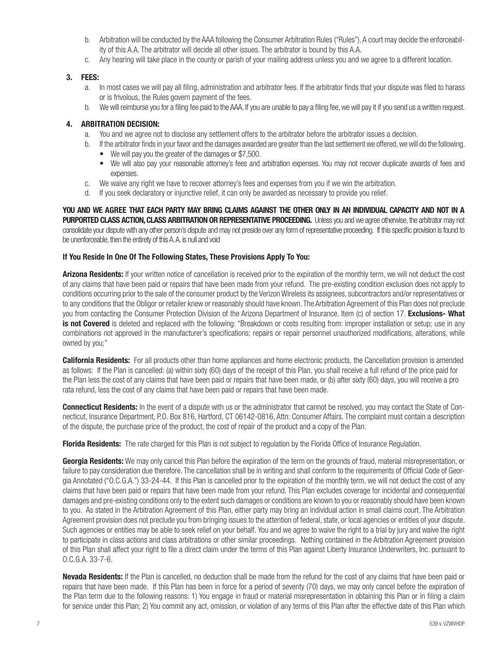- b. Arbitration will be conducted by the AAA following the Consumer Arbitration Rules ("Rules"). A court may decide the enforceability of this A.A. The arbitrator will decide all other issues. The arbitrator is bound by this A.A.
- c. Any hearing will take place in the county or parish of your mailing address unless you and we agree to a different location.

## 3. FEES:

- a. In most cases we will pay all filing, administration and arbitrator fees. If the arbitrator finds that your dispute was filed to harass or is frivolous, the Rules govern payment of the fees.
- b. We will reimburse you for a filing fee paid to the AAA. If you are unable to pay a filing fee, we will pay it if you send us a written request.

#### 4. ARBITRATION DECISION:

- a. You and we agree not to disclose any settlement offers to the arbitrator before the arbitrator issues a decision.
- b. If the arbitrator finds in your favor and the damages awarded are greater than the last settlement we offered, we will do the following.
	- We will pay you the greater of the damages or \$7,500.
	- We will also pay your reasonable attorney's fees and arbitration expenses. You may not recover duplicate awards of fees and expenses.
- c. We waive any right we have to recover attorney's fees and expenses from you if we win the arbitration.
- d. If you seek declaratory or injunctive relief, it can only be awarded as necessary to provide you relief.

YOU AND WE AGREE THAT EACH PARTY MAY BRING CLAIMS AGAINST THE OTHER ONLY IN AN INDIVIDUAL CAPACITY AND NOT IN A PURPORTED CLASS ACTION, CLASS ARBITRATION OR REPRESENTATIVE PROCEEDING. Unless you and we agree otherwise, the arbitrator may not consolidate your dispute with any other person's dispute and may not preside over any form of representative proceeding. If this specific provision is found to be unenforceable, then the entirety of this A. A. is null and void

#### If You Reside In One Of The Following States, These Provisions Apply To You:

Arizona Residents: If your written notice of cancellation is received prior to the expiration of the monthly term, we will not deduct the cost of any claims that have been paid or repairs that have been made from your refund. The pre-existing condition exclusion does not apply to conditions occurring prior to the sale of the consumer product by the Verizon Wireless its assignees, subcontractors and/or representatives or to any conditions that the Obligor or retailer knew or reasonably should have known. The Arbitration Agreement of this Plan does not preclude you from contacting the Consumer Protection Division of the Arizona Department of Insurance. Item (c) of section 17. **Exclusions- What** is not Covered is deleted and replaced with the following: "Breakdown or costs resulting from: improper installation or setup; use in any combinations not approved in the manufacturer's specifications; repairs or repair personnel unauthorized modifications, alterations, while owned by you;"

**California Residents:** For all products other than home appliances and home electronic products, the Cancellation provision is amended as follows: If the Plan is cancelled: (a) within sixty (60) days of the receipt of this Plan, you shall receive a full refund of the price paid for the Plan less the cost of any claims that have been paid or repairs that have been made, or (b) after sixty (60) days, you will receive a pro rata refund, less the cost of any claims that have been paid or repairs that have been made.

**Connecticut Residents:** In the event of a dispute with us or the administrator that cannot be resolved, you may contact the State of Connecticut, Insurance Department, P.O. Box 816, Hartford, CT 06142-0816, Attn: Consumer Affairs. The complaint must contain a description of the dispute, the purchase price of the product, the cost of repair of the product and a copy of the Plan.

Florida Residents: The rate charged for this Plan is not subject to regulation by the Florida Office of Insurance Regulation.

Georgia Residents: We may only cancel this Plan before the expiration of the term on the grounds of fraud, material misrepresentation, or failure to pay consideration due therefore. The cancellation shall be in writing and shall conform to the requirements of Official Code of Georgia Annotated ("O.C.G.A.") 33-24-44. If this Plan is cancelled prior to the expiration of the monthly term, we will not deduct the cost of any claims that have been paid or repairs that have been made from your refund. This Plan excludes coverage for incidental and consequential damages and pre-existing conditions only to the extent such damages or conditions are known to you or reasonably should have been known to you. As stated in the Arbitration Agreement of this Plan, either party may bring an individual action in small claims court. The Arbitration Agreement provision does not preclude you from bringing issues to the attention of federal, state, or local agencies or entities of your dispute. Such agencies or entities may be able to seek relief on your behalf. You and we agree to waive the right to a trial by jury and waive the right to participate in class actions and class arbitrations or other similar proceedings. Nothing contained in the Arbitration Agreement provision of this Plan shall affect your right to file a direct claim under the terms of this Plan against Liberty Insurance Underwriters, Inc. pursuant to O.C.G.A. 33-7-6.

Nevada Residents: If the Plan is cancelled, no deduction shall be made from the refund for the cost of any claims that have been paid or repairs that have been made. If this Plan has been in force for a period of seventy (70) days, we may only cancel before the expiration of the Plan term due to the following reasons: 1) You engage in fraud or material misrepresentation in obtaining this Plan or in filing a claim for service under this Plan; 2) You commit any act, omission, or violation of any terms of this Plan after the effective date of this Plan which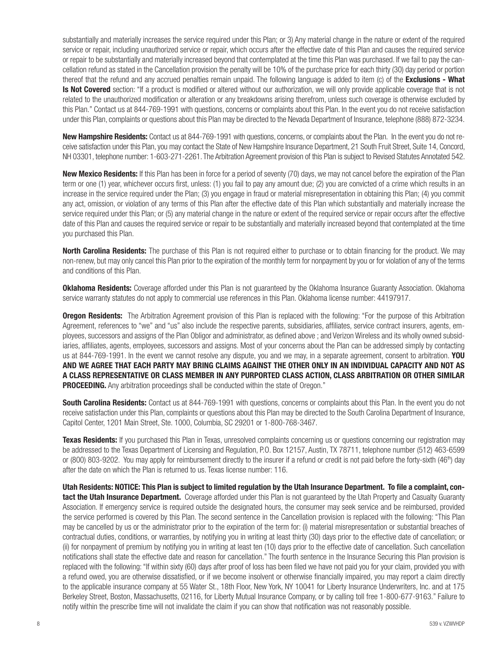substantially and materially increases the service required under this Plan; or 3) Any material change in the nature or extent of the required service or repair, including unauthorized service or repair, which occurs after the effective date of this Plan and causes the required service or repair to be substantially and materially increased beyond that contemplated at the time this Plan was purchased. If we fail to pay the cancellation refund as stated in the Cancellation provision the penalty will be 10% of the purchase price for each thirty (30) day period or portion thereof that the refund and any accrued penalties remain unpaid. The following language is added to item (c) of the **Exclusions - What** Is Not Covered section: "If a product is modified or altered without our authorization, we will only provide applicable coverage that is not related to the unauthorized modification or alteration or any breakdowns arising therefrom, unless such coverage is otherwise excluded by this Plan." Contact us at 844-769-1991 with questions, concerns or complaints about this Plan. In the event you do not receive satisfaction under this Plan, complaints or questions about this Plan may be directed to the Nevada Department of Insurance, telephone (888) 872-3234.

New Hampshire Residents: Contact us at 844-769-1991 with questions, concerns, or complaints about the Plan. In the event you do not receive satisfaction under this Plan, you may contact the State of New Hampshire Insurance Department, 21 South Fruit Street, Suite 14, Concord, NH 03301, telephone number: 1-603-271-2261. The Arbitration Agreement provision of this Plan is subject to Revised Statutes Annotated 542.

New Mexico Residents: If this Plan has been in force for a period of seventy (70) days, we may not cancel before the expiration of the Plan term or one (1) year, whichever occurs first, unless: (1) you fail to pay any amount due; (2) you are convicted of a crime which results in an increase in the service required under the Plan; (3) you engage in fraud or material misrepresentation in obtaining this Plan; (4) you commit any act, omission, or violation of any terms of this Plan after the effective date of this Plan which substantially and materially increase the service required under this Plan; or (5) any material change in the nature or extent of the required service or repair occurs after the effective date of this Plan and causes the required service or repair to be substantially and materially increased beyond that contemplated at the time you purchased this Plan.

**North Carolina Residents:** The purchase of this Plan is not required either to purchase or to obtain financing for the product. We may non-renew, but may only cancel this Plan prior to the expiration of the monthly term for nonpayment by you or for violation of any of the terms and conditions of this Plan.

Oklahoma Residents: Coverage afforded under this Plan is not guaranteed by the Oklahoma Insurance Guaranty Association. Oklahoma service warranty statutes do not apply to commercial use references in this Plan. Oklahoma license number: 44197917.

**Oregon Residents:** The Arbitration Agreement provision of this Plan is replaced with the following: "For the purpose of this Arbitration Agreement, references to "we" and "us" also include the respective parents, subsidiaries, affiliates, service contract insurers, agents, employees, successors and assigns of the Plan Obligor and administrator, as defined above ; and Verizon Wireless and its wholly owned subsidiaries, affiliates, agents, employees, successors and assigns. Most of your concerns about the Plan can be addressed simply by contacting us at 844-769-1991. In the event we cannot resolve any dispute, you and we may, in a separate agreement, consent to arbitration. YOU AND WE AGREE THAT EACH PARTY MAY BRING CLAIMS AGAINST THE OTHER ONLY IN AN INDIVIDUAL CAPACITY AND NOT AS A CLASS REPRESENTATIVE OR CLASS MEMBER IN ANY PURPORTED CLASS ACTION, CLASS ARBITRATION OR OTHER SIMILAR **PROCEEDING.** Any arbitration proceedings shall be conducted within the state of Oregon."

South Carolina Residents: Contact us at 844-769-1991 with questions, concerns or complaints about this Plan. In the event you do not receive satisfaction under this Plan, complaints or questions about this Plan may be directed to the South Carolina Department of Insurance, Capitol Center, 1201 Main Street, Ste. 1000, Columbia, SC 29201 or 1-800-768-3467.

**Texas Residents:** If you purchased this Plan in Texas, unresolved complaints concerning us or questions concerning our registration may be addressed to the Texas Department of Licensing and Regulation, P.O. Box 12157, Austin, TX 78711, telephone number (512) 463-6599 or (800) 803-9202. You may apply for reimbursement directly to the insurer if a refund or credit is not paid before the forty-sixth (46<sup>th</sup>) day after the date on which the Plan is returned to us. Texas license number: 116.

Utah Residents: NOTICE: This Plan is subject to limited regulation by the Utah Insurance Department. To file a complaint, contact the Utah Insurance Department. Coverage afforded under this Plan is not guaranteed by the Utah Property and Casualty Guaranty Association. If emergency service is required outside the designated hours, the consumer may seek service and be reimbursed, provided the service performed is covered by this Plan. The second sentence in the Cancellation provision is replaced with the following: "This Plan may be cancelled by us or the administrator prior to the expiration of the term for: (i) material misrepresentation or substantial breaches of contractual duties, conditions, or warranties, by notifying you in writing at least thirty (30) days prior to the effective date of cancellation; or (ii) for nonpayment of premium by notifying you in writing at least ten (10) days prior to the effective date of cancellation. Such cancellation notifications shall state the effective date and reason for cancellation." The fourth sentence in the Insurance Securing this Plan provision is replaced with the following: "If within sixty (60) days after proof of loss has been filed we have not paid you for your claim, provided you with a refund owed, you are otherwise dissatisfied, or if we become insolvent or otherwise financially impaired, you may report a claim directly to the applicable insurance company at 55 Water St., 18th Floor, New York, NY 10041 for Liberty Insurance Underwriters, Inc. and at 175 Berkeley Street, Boston, Massachusetts, 02116, for Liberty Mutual Insurance Company, or by calling toll free 1-800-677-9163." Failure to notify within the prescribe time will not invalidate the claim if you can show that notification was not reasonably possible.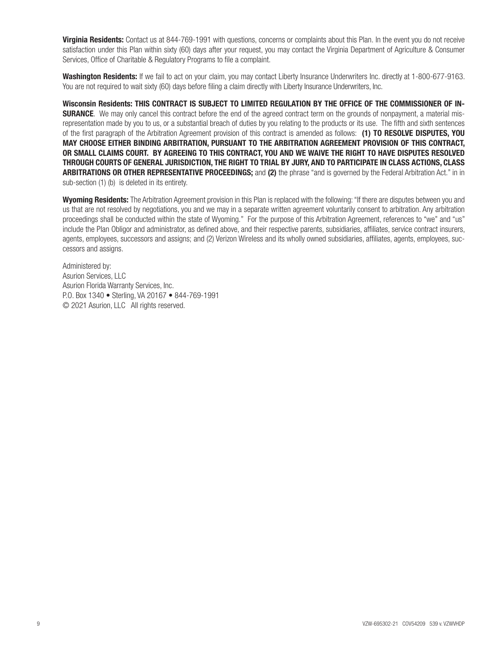Virginia Residents: Contact us at 844-769-1991 with questions, concerns or complaints about this Plan. In the event you do not receive satisfaction under this Plan within sixty (60) days after your request, you may contact the Virginia Department of Agriculture & Consumer Services, Office of Charitable & Regulatory Programs to file a complaint.

Washington Residents: If we fail to act on your claim, you may contact Liberty Insurance Underwriters Inc. directly at 1-800-677-9163. You are not required to wait sixty (60) days before filing a claim directly with Liberty Insurance Underwriters, Inc.

Wisconsin Residents: THIS CONTRACT IS SUBJECT TO LIMITED REGULATION BY THE OFFICE OF THE COMMISSIONER OF IN-**SURANCE**. We may only cancel this contract before the end of the agreed contract term on the grounds of nonpayment, a material misrepresentation made by you to us, or a substantial breach of duties by you relating to the products or its use. The fifth and sixth sentences of the first paragraph of the Arbitration Agreement provision of this contract is amended as follows: (1) TO RESOLVE DISPUTES, YOU MAY CHOOSE EITHER BINDING ARBITRATION, PURSUANT TO THE ARBITRATION AGREEMENT PROVISION OF THIS CONTRACT, OR SMALL CLAIMS COURT. BY AGREEING TO THIS CONTRACT, YOU AND WE WAIVE THE RIGHT TO HAVE DISPUTES RESOLVED THROUGH COURTS OF GENERAL JURISDICTION, THE RIGHT TO TRIAL BY JURY, AND TO PARTICIPATE IN CLASS ACTIONS, CLASS ARBITRATIONS OR OTHER REPRESENTATIVE PROCEEDINGS; and (2) the phrase "and is governed by the Federal Arbitration Act." in in sub-section (1) (b) is deleted in its entirety.

Wyoming Residents: The Arbitration Agreement provision in this Plan is replaced with the following: "If there are disputes between you and us that are not resolved by negotiations, you and we may in a separate written agreement voluntarily consent to arbitration. Any arbitration proceedings shall be conducted within the state of Wyoming." For the purpose of this Arbitration Agreement, references to "we" and "us" include the Plan Obligor and administrator, as defined above, and their respective parents, subsidiaries, affiliates, service contract insurers, agents, employees, successors and assigns; and (2) Verizon Wireless and its wholly owned subsidiaries, affiliates, agents, employees, successors and assigns.

Administered by: Asurion Services, LLC Asurion Florida Warranty Services, Inc. P.O. Box 1340 • Sterling, VA 20167 • 844-769-1991 © 2021 Asurion, LLC All rights reserved.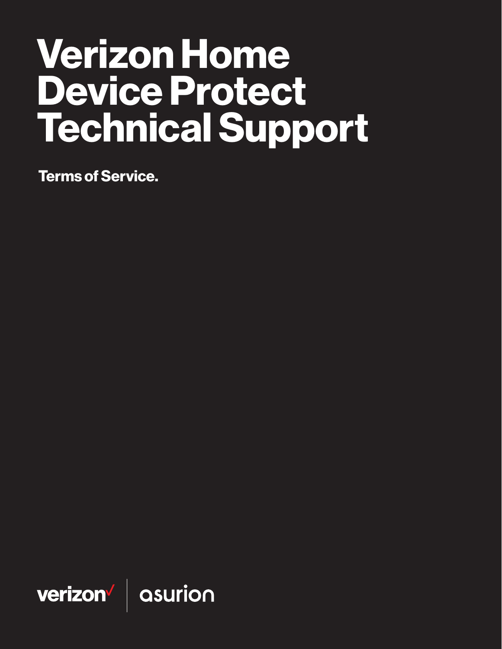# Verizon Home Device Protect Technical Support

Terms of Service.

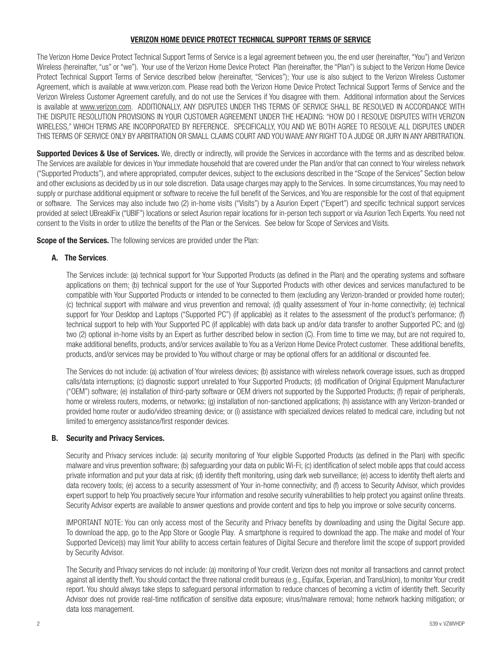## VERIZON HOME DEVICE PROTECT TECHNICAL SUPPORT TERMS OF SERVICE

The Verizon Home Device Protect Technical Support Terms of Service is a legal agreement between you, the end user (hereinafter, "You") and Verizon Wireless (hereinafter, "us" or "we"). Your use of the Verizon Home Device Protect Plan (hereinafter, the "Plan") is subject to the Verizon Home Device Protect Technical Support Terms of Service described below (hereinafter, "Services"); Your use is also subject to the Verizon Wireless Customer Agreement, which is available at www.verizon.com. Please read both the Verizon Home Device Protect Technical Support Terms of Service and the Verizon Wireless Customer Agreement carefully, and do not use the Services if You disagree with them. Additional information about the Services is available at [www.verizon.com](http://www.verizonwireless.com). ADDITIONALLY, ANY DISPUTES UNDER THIS TERMS OF SERVICE SHALL BE RESOLVED IN ACCORDANCE WITH THE DISPUTE RESOLUTION PROVISIONS IN YOUR CUSTOMER AGREEMENT UNDER THE HEADING: "HOW DO I RESOLVE DISPUTES WITH VERIZON WIRELESS," WHICH TERMS ARE INCORPORATED BY REFERENCE. SPECIFICALLY, YOU AND WE BOTH AGREE TO RESOLVE ALL DISPUTES UNDER THIS TERMS OF SERVICE ONLY BY ARBITRATION OR SMALL CLAIMS COURT AND YOU WAIVE ANY RIGHT TO A JUDGE OR JURY IN ANY ARBITRATION.

Supported Devices & Use of Services. We, directly or indirectly, will provide the Services in accordance with the terms and as described below. The Services are available for devices in Your immediate household that are covered under the Plan and/or that can connect to Your wireless network ("Supported Products"), and where appropriated, computer devices, subject to the exclusions described in the "Scope of the Services" Section below and other exclusions as decided by us in our sole discretion. Data usage charges may apply to the Services. In some circumstances, You may need to supply or purchase additional equipment or software to receive the full benefit of the Services, and You are responsible for the cost of that equipment or software. The Services may also include two (2) in-home visits ("Visits") by a Asurion Expert ("Expert") and specific technical support services provided at select UBreakIFix ("UBIF") locations or select Asurion repair locations for in-person tech support or via Asurion Tech Experts. You need not consent to the Visits in order to utilize the benefits of the Plan or the Services. See below for Scope of Services and Visits.

**Scope of the Services.** The following services are provided under the Plan:

# A. The Services.

The Services include: (a) technical support for Your Supported Products (as defined in the Plan) and the operating systems and software applications on them; (b) technical support for the use of Your Supported Products with other devices and services manufactured to be compatible with Your Supported Products or intended to be connected to them (excluding any Verizon-branded or provided home router); (c) technical support with malware and virus prevention and removal; (d) quality assessment of Your in-home connectivity; (e) technical support for Your Desktop and Laptops ("Supported PC") (if applicable) as it relates to the assessment of the product's performance; (f) technical support to help with Your Supported PC (if applicable) with data back up and/or data transfer to another Supported PC; and (g) two (2) optional in-home visits by an Expert as further described below in section (C). From time to time we may, but are not required to, make additional benefits, products, and/or services available to You as a Verizon Home Device Protect customer. These additional benefits, products, and/or services may be provided to You without charge or may be optional offers for an additional or discounted fee.

The Services do not include: (a) activation of Your wireless devices; (b) assistance with wireless network coverage issues, such as dropped calls/data interruptions; (c) diagnostic support unrelated to Your Supported Products; (d) modification of Original Equipment Manufacturer ("OEM") software; (e) installation of third-party software or OEM drivers not supported by the Supported Products; (f) repair of peripherals, home or wireless routers, modems, or networks; (g) installation of non-sanctioned applications; (h) assistance with any Verizon-branded or provided home router or audio/video streaming device; or (i) assistance with specialized devices related to medical care, including but not limited to emergency assistance/first responder devices.

## B. Security and Privacy Services.

Security and Privacy services include: (a) security monitoring of Your eligible Supported Products (as defined in the Plan) with specific malware and virus prevention software; (b) safeguarding your data on public Wi-Fi; (c) identification of select mobile apps that could access private information and put your data at risk; (d) identity theft monitoring, using dark web surveillance; (e) access to identity theft alerts and data recovery tools; (e) access to a security assessment of Your in-home connectivity; and (f) access to Security Advisor, which provides expert support to help You proactively secure Your information and resolve security vulnerabilities to help protect you against online threats. Security Advisor experts are available to answer questions and provide content and tips to help you improve or solve security concerns.

IMPORTANT NOTE: You can only access most of the Security and Privacy benefits by downloading and using the Digital Secure app. To download the app, go to the App Store or Google Play. A smartphone is required to download the app. The make and model of Your Supported Device(s) may limit Your ability to access certain features of Digital Secure and therefore limit the scope of support provided by Security Advisor.

The Security and Privacy services do not include: (a) monitoring of Your credit. Verizon does not monitor all transactions and cannot protect against all identity theft. You should contact the three national credit bureaus (e.g., Equifax, Experian, and TransUnion), to monitor Your credit report. You should always take steps to safeguard personal information to reduce chances of becoming a victim of identity theft. Security Advisor does not provide real-time notification of sensitive data exposure; virus/malware removal; home network hacking mitigation; or data loss management.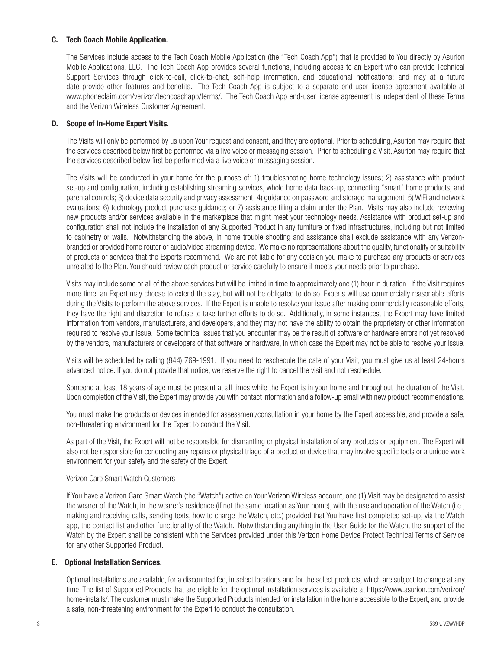## C. Tech Coach Mobile Application.

The Services include access to the Tech Coach Mobile Application (the "Tech Coach App") that is provided to You directly by Asurion Mobile Applications, LLC. The Tech Coach App provides several functions, including access to an Expert who can provide Technical Support Services through click-to-call, click-to-chat, self-help information, and educational notifications; and may at a future date provide other features and benefits. The Tech Coach App is subject to a separate end-user license agreement available at [www.phoneclaim.com/verizon/techcoachapp/terms/](http://www.phoneclaim.com/verizon/techcoachapp/terms/). The Tech Coach App end-user license agreement is independent of these Terms and the Verizon Wireless Customer Agreement.

## D. Scope of In-Home Expert Visits.

The Visits will only be performed by us upon Your request and consent, and they are optional. Prior to scheduling, Asurion may require that the services described below first be performed via a live voice or messaging session. Prior to scheduling a Visit, Asurion may require that the services described below first be performed via a live voice or messaging session.

The Visits will be conducted in your home for the purpose of: 1) troubleshooting home technology issues; 2) assistance with product set-up and configuration, including establishing streaming services, whole home data back-up, connecting "smart" home products, and parental controls; 3) device data security and privacy assessment; 4) guidance on password and storage management; 5) WiFi and network evaluations; 6) technology product purchase guidance; or 7) assistance filing a claim under the Plan. Visits may also include reviewing new products and/or services available in the marketplace that might meet your technology needs. Assistance with product set-up and configuration shall not include the installation of any Supported Product in any furniture or fixed infrastructures, including but not limited to cabinetry or walls. Notwithstanding the above, in home trouble shooting and assistance shall exclude assistance with any Verizonbranded or provided home router or audio/video streaming device. We make no representations about the quality, functionality or suitability of products or services that the Experts recommend. We are not liable for any decision you make to purchase any products or services unrelated to the Plan. You should review each product or service carefully to ensure it meets your needs prior to purchase.

Visits may include some or all of the above services but will be limited in time to approximately one (1) hour in duration. If the Visit requires more time, an Expert may choose to extend the stay, but will not be obligated to do so. Experts will use commercially reasonable efforts during the Visits to perform the above services. If the Expert is unable to resolve your issue after making commercially reasonable efforts, they have the right and discretion to refuse to take further efforts to do so. Additionally, in some instances, the Expert may have limited information from vendors, manufacturers, and developers, and they may not have the ability to obtain the proprietary or other information required to resolve your issue. Some technical issues that you encounter may be the result of software or hardware errors not yet resolved by the vendors, manufacturers or developers of that software or hardware, in which case the Expert may not be able to resolve your issue.

Visits will be scheduled by calling (844) 769-1991. If you need to reschedule the date of your Visit, you must give us at least 24-hours advanced notice. If you do not provide that notice, we reserve the right to cancel the visit and not reschedule.

Someone at least 18 years of age must be present at all times while the Expert is in your home and throughout the duration of the Visit. Upon completion of the Visit, the Expert may provide you with contact information and a follow-up email with new product recommendations.

You must make the products or devices intended for assessment/consultation in your home by the Expert accessible, and provide a safe, non-threatening environment for the Expert to conduct the Visit.

As part of the Visit, the Expert will not be responsible for dismantling or physical installation of any products or equipment. The Expert will also not be responsible for conducting any repairs or physical triage of a product or device that may involve specific tools or a unique work environment for your safety and the safety of the Expert.

## Verizon Care Smart Watch Customers

If You have a Verizon Care Smart Watch (the "Watch") active on Your Verizon Wireless account, one (1) Visit may be designated to assist the wearer of the Watch, in the wearer's residence (if not the same location as Your home), with the use and operation of the Watch (i.e., making and receiving calls, sending texts, how to charge the Watch, etc.) provided that You have first completed set-up, via the Watch app, the contact list and other functionality of the Watch. Notwithstanding anything in the User Guide for the Watch, the support of the Watch by the Expert shall be consistent with the Services provided under this Verizon Home Device Protect Technical Terms of Service for any other Supported Product.

## E. Optional Installation Services.

Optional Installations are available, for a discounted fee, in select locations and for the select products, which are subject to change at any time. The list of Supported Products that are eligible for the optional installation services is available at https://www.asurion.com/verizon/ home-installs/. The customer must make the Supported Products intended for installation in the home accessible to the Expert, and provide a safe, non-threatening environment for the Expert to conduct the consultation.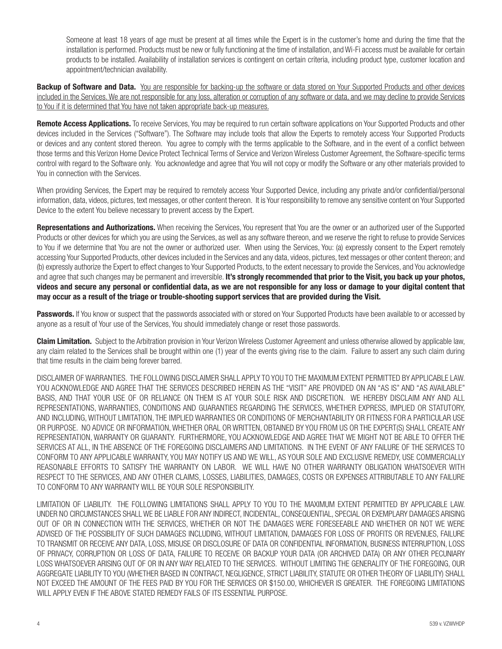Someone at least 18 years of age must be present at all times while the Expert is in the customer's home and during the time that the installation is performed. Products must be new or fully functioning at the time of installation, and Wi-Fi access must be available for certain products to be installed. Availability of installation services is contingent on certain criteria, including product type, customer location and appointment/technician availability.

Backup of Software and Data. You are responsible for backing-up the software or data stored on Your Supported Products and other devices included in the Services. We are not responsible for any loss, alteration or corruption of any software or data, and we may decline to provide Services to You if it is determined that You have not taken appropriate back-up measures.

Remote Access Applications. To receive Services, You may be required to run certain software applications on Your Supported Products and other devices included in the Services ("Software"). The Software may include tools that allow the Experts to remotely access Your Supported Products or devices and any content stored thereon. You agree to comply with the terms applicable to the Software, and in the event of a conflict between those terms and this Verizon Home Device Protect Technical Terms of Service and Verizon Wireless Customer Agreement, the Software-specific terms control with regard to the Software only. You acknowledge and agree that You will not copy or modify the Software or any other materials provided to You in connection with the Services.

When providing Services, the Expert may be required to remotely access Your Supported Device, including any private and/or confidential/personal information, data, videos, pictures, text messages, or other content thereon. It is Your responsibility to remove any sensitive content on Your Supported Device to the extent You believe necessary to prevent access by the Expert.

Representations and Authorizations. When receiving the Services, You represent that You are the owner or an authorized user of the Supported Products or other devices for which you are using the Services, as well as any software thereon, and we reserve the right to refuse to provide Services to You if we determine that You are not the owner or authorized user. When using the Services, You: (a) expressly consent to the Expert remotely accessing Your Supported Products, other devices included in the Services and any data, videos, pictures, text messages or other content thereon; and (b) expressly authorize the Expert to effect changes to Your Supported Products, to the extent necessary to provide the Services, and You acknowledge and agree that such changes may be permanent and irreversible. It's strongly recommended that prior to the Visit, you back up your photos, videos and secure any personal or confidential data, as we are not responsible for any loss or damage to your digital content that may occur as a result of the triage or trouble-shooting support services that are provided during the Visit.

Passwords. If You know or suspect that the passwords associated with or stored on Your Supported Products have been available to or accessed by anyone as a result of Your use of the Services, You should immediately change or reset those passwords.

**Claim Limitation.** Subject to the Arbitration provision in Your Verizon Wireless Customer Agreement and unless otherwise allowed by applicable law, any claim related to the Services shall be brought within one (1) year of the events giving rise to the claim. Failure to assert any such claim during that time results in the claim being forever barred.

DISCLAIMER OF WARRANTIES. THE FOLLOWING DISCLAIMER SHALL APPLY TO YOU TO THE MAXIMUM EXTENT PERMITTED BY APPLICABLE LAW. YOU ACKNOWLEDGE AND AGREE THAT THE SERVICES DESCRIBED HEREIN AS THE "VISIT" ARE PROVIDED ON AN "AS IS" AND "AS AVAILABLE" BASIS, AND THAT YOUR USE OF OR RELIANCE ON THEM IS AT YOUR SOLE RISK AND DISCRETION. WE HEREBY DISCLAIM ANY AND ALL REPRESENTATIONS, WARRANTIES, CONDITIONS AND GUARANTIES REGARDING THE SERVICES, WHETHER EXPRESS, IMPLIED OR STATUTORY, AND INCLUDING, WITHOUT LIMITATION, THE IMPLIED WARRANTIES OR CONDITIONS OF MERCHANTABILITY OR FITNESS FOR A PARTICULAR USE OR PURPOSE. NO ADVICE OR INFORMATION, WHETHER ORAL OR WRITTEN, OBTAINED BY YOU FROM US OR THE EXPERT(S) SHALL CREATE ANY REPRESENTATION, WARRANTY OR GUARANTY. FURTHERMORE, YOU ACKNOWLEDGE AND AGREE THAT WE MIGHT NOT BE ABLE TO OFFER THE SERVICES AT ALL, IN THE ABSENCE OF THE FOREGOING DISCLAIMERS AND LIMITATIONS. IN THE EVENT OF ANY FAILURE OF THE SERVICES TO CONFORM TO ANY APPLICABLE WARRANTY, YOU MAY NOTIFY US AND WE WILL, AS YOUR SOLE AND EXCLUSIVE REMEDY, USE COMMERCIALLY REASONABLE EFFORTS TO SATISFY THE WARRANTY ON LABOR. WE WILL HAVE NO OTHER WARRANTY OBLIGATION WHATSOEVER WITH RESPECT TO THE SERVICES, AND ANY OTHER CLAIMS, LOSSES, LIABILITIES, DAMAGES, COSTS OR EXPENSES ATTRIBUTABLE TO ANY FAILURE TO CONFORM TO ANY WARRANTY WILL BE YOUR SOLE RESPONSIBILITY.

LIMITATION OF LIABILITY. THE FOLLOWING LIMITATIONS SHALL APPLY TO YOU TO THE MAXIMUM EXTENT PERMITTED BY APPLICABLE LAW. UNDER NO CIRCUMSTANCES SHALL WE BE LIABLE FOR ANY INDIRECT, INCIDENTAL, CONSEQUENTIAL, SPECIAL OR EXEMPLARY DAMAGES ARISING OUT OF OR IN CONNECTION WITH THE SERVICES, WHETHER OR NOT THE DAMAGES WERE FORESEEABLE AND WHETHER OR NOT WE WERE ADVISED OF THE POSSIBILITY OF SUCH DAMAGES INCLUDING, WITHOUT LIMITATION, DAMAGES FOR LOSS OF PROFITS OR REVENUES, FAILURE TO TRANSMIT OR RECEIVE ANY DATA, LOSS, MISUSE OR DISCLOSURE OF DATA OR CONFIDENTIAL INFORMATION, BUSINESS INTERRUPTION, LOSS OF PRIVACY, CORRUPTION OR LOSS OF DATA, FAILURE TO RECEIVE OR BACKUP YOUR DATA (OR ARCHIVED DATA) OR ANY OTHER PECUNIARY LOSS WHATSOEVER ARISING OUT OF OR IN ANY WAY RELATED TO THE SERVICES. WITHOUT LIMITING THE GENERALITY OF THE FOREGOING, OUR AGGREGATE LIABILITY TO YOU (WHETHER BASED IN CONTRACT, NEGLIGENCE, STRICT LIABILITY, STATUTE OR OTHER THEORY OF LIABILITY) SHALL NOT EXCEED THE AMOUNT OF THE FEES PAID BY YOU FOR THE SERVICES OR \$150.00, WHICHEVER IS GREATER. THE FOREGOING LIMITATIONS WILL APPLY EVEN IF THE ABOVE STATED REMEDY FAILS OF ITS ESSENTIAL PURPOSE.